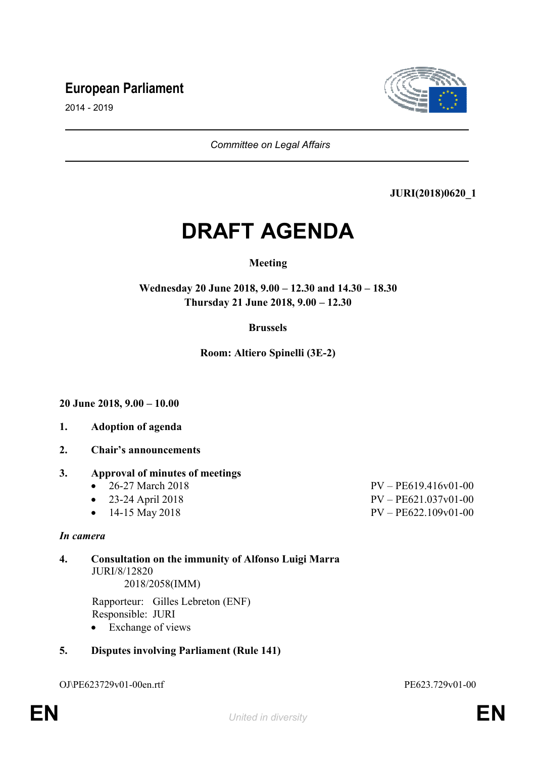# **European Parliament**



2014 - 2019

*Committee on Legal Affairs*

### **JURI(2018)0620\_1**

# **DRAFT AGENDA**

### **Meeting**

**Wednesday 20 June 2018, 9.00 – 12.30 and 14.30 – 18.30 Thursday 21 June 2018, 9.00 – 12.30**

### **Brussels**

**Room: Altiero Spinelli (3E-2)**

**20 June 2018, 9.00 – 10.00**

- **1. Adoption of agenda**
- **2. Chair's announcements**

### **3. Approval of minutes of meetings**

- 26-27 March 2018 PV PE619 416v01-00
- 23-24 April 2018 PV PE621.037v01-00
- 14-15 May 2018 PV PE622.109v01-00

#### *In camera*

**4. Consultation on the immunity of Alfonso Luigi Marra** JURI/8/12820 2018/2058(IMM)

> Rapporteur: Gilles Lebreton (ENF) Responsible: JURI

• Exchange of views

### **5. Disputes involving Parliament (Rule 141)**

OJ\PE623729v01-00en.rtf PE623.729v01-00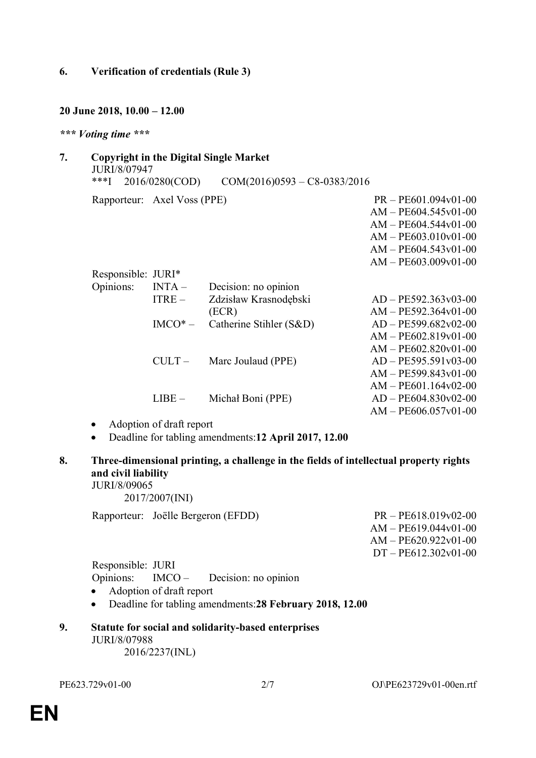### **6. Verification of credentials (Rule 3)**

### **20 June 2018, 10.00 – 12.00**

#### *\*\*\* Voting time \*\*\**

| 7. | <b>Copyright in the Digital Single Market</b><br>JURI/8/07947 |                             |                                |                        |  |  |  |
|----|---------------------------------------------------------------|-----------------------------|--------------------------------|------------------------|--|--|--|
|    | ***[                                                          | 2016/0280(COD)              | $COM(2016)0593 - C8-0383/2016$ |                        |  |  |  |
|    |                                                               | Rapporteur: Axel Voss (PPE) |                                | $PR - PE601.094v01-00$ |  |  |  |
|    |                                                               |                             |                                | $AM - PE604.545v01-00$ |  |  |  |
|    |                                                               |                             |                                | $AM - PE604.544v01-00$ |  |  |  |
|    |                                                               |                             |                                | $AM - PE603.010v01-00$ |  |  |  |
|    |                                                               |                             |                                | $AM - PE604.543v01-00$ |  |  |  |
|    |                                                               |                             |                                | $AM - PE603.009v01-00$ |  |  |  |
|    | Responsible: JURI*                                            |                             |                                |                        |  |  |  |
|    | Opinions:                                                     | $INTA -$                    | Decision: no opinion           |                        |  |  |  |
|    |                                                               | $ITRE-$                     | Zdzisław Krasnodębski          | $AD - PE592.363v03-00$ |  |  |  |
|    |                                                               |                             | (ECR)                          | $AM - PE592.364v01-00$ |  |  |  |
|    |                                                               | $IMCO*-$                    | Catherine Stihler (S&D)        | $AD - PE599.682v02-00$ |  |  |  |
|    |                                                               |                             |                                | $AM - PE602.819v01-00$ |  |  |  |
|    |                                                               |                             |                                | $AM - PE602.820v01-00$ |  |  |  |
|    |                                                               | $CULT -$                    | Marc Joulaud (PPE)             | $AD - PE595.591v03-00$ |  |  |  |
|    |                                                               |                             |                                | $AM - PE599.843v01-00$ |  |  |  |
|    |                                                               |                             |                                | $AM - PE601.164v02-00$ |  |  |  |
|    |                                                               | $LIBE -$                    | Michał Boni (PPE)              | $AD - PE604.830v02-00$ |  |  |  |
|    |                                                               |                             |                                | $AM - PE606.057v01-00$ |  |  |  |
|    | $\cdots$ $\cdots$                                             |                             |                                |                        |  |  |  |

- Adoption of draft report
- Deadline for tabling amendments:**12 April 2017, 12.00**
- **8. Three-dimensional printing, a challenge in the fields of intellectual property rights and civil liability** JURI/8/09065

2017/2007(INI)

Rapporteur: Joëlle Bergeron (EFDD) PR – PE618.019v02-00

AM – PE619.044v01-00 AM – PE620.922v01-00 DT – PE612.302v01-00

Responsible: JURI Opinions: IMCO – Decision: no opinion

- Adoption of draft report
- Deadline for tabling amendments:**28 February 2018, 12.00**

#### **9. Statute for social and solidarity-based enterprises** JURI/8/07988 2016/2237(INL)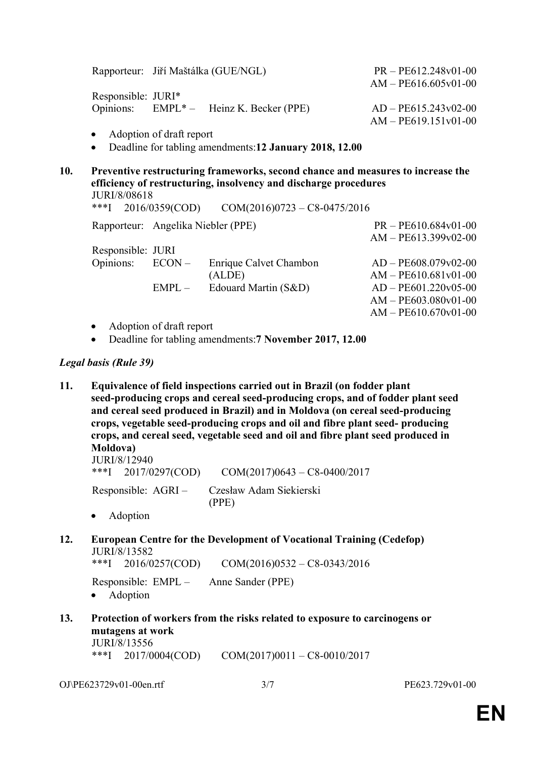|     | Rapporteur: Jiří Maštálka (GUE/NGL)                                                                                                                                                                                               | $PR - PE612.248v01-00$<br>$AM - PE616.605v01-00$ |  |  |  |  |  |
|-----|-----------------------------------------------------------------------------------------------------------------------------------------------------------------------------------------------------------------------------------|--------------------------------------------------|--|--|--|--|--|
|     | Responsible: JURI*                                                                                                                                                                                                                |                                                  |  |  |  |  |  |
|     | Opinions: EMPL <sup>*</sup> – Heinz K. Becker (PPE)                                                                                                                                                                               | $AD - PE615.243v02-00$                           |  |  |  |  |  |
|     |                                                                                                                                                                                                                                   | $AM - PE619.151v01-00$                           |  |  |  |  |  |
|     | Adoption of draft report<br>$\bullet$                                                                                                                                                                                             |                                                  |  |  |  |  |  |
|     | Deadline for tabling amendments: 12 January 2018, 12.00<br>$\bullet$                                                                                                                                                              |                                                  |  |  |  |  |  |
| 10. | Preventive restructuring frameworks, second chance and measures to increase the<br>efficiency of restructuring, insolvency and discharge procedures<br>JURI/8/08618<br>***]<br>$COM(2016)0723 - C8 - 0475/2016$<br>2016/0359(COD) |                                                  |  |  |  |  |  |
|     | Rapporteur: Angelika Niebler (PPE)                                                                                                                                                                                                | $PR - PE610.684v01-00$                           |  |  |  |  |  |
|     | $\mathbf{D}$ agnongibla: II IDI                                                                                                                                                                                                   | $AM - PE613.399v02-00$                           |  |  |  |  |  |

Responsible: JURI Opinions: ECON – Enrique Calvet Chambon (ALDE) AD – PE608.079v02-00 AM – PE610.681v01-00  $EMPL -$  Edouard Martin  $(S&D)$   $AD - PE601.220v05-00$ AM – PE603.080v01-00  $AM - PE610.670v01-00$ 

- Adoption of draft report
- Deadline for tabling amendments:**7 November 2017, 12.00**

### *Legal basis (Rule 39)*

**11. Equivalence of field inspections carried out in Brazil (on fodder plant seed-producing crops and cereal seed-producing crops, and of fodder plant seed and cereal seed produced in Brazil) and in Moldova (on cereal seed-producing crops, vegetable seed-producing crops and oil and fibre plant seed- producing crops, and cereal seed, vegetable seed and oil and fibre plant seed produced in Moldova)**

JURI/8/12940 \*\*\*I 2017/0297(COD) COM(2017)0643 – C8-0400/2017

Responsible: AGRI – Czesław Adam Siekierski (PPE)

- Adoption
- **12. European Centre for the Development of Vocational Training (Cedefop)** JURI/8/13582

\*\*\*I 2016/0257(COD) COM(2016)0532 – C8-0343/2016

Responsible: EMPL – Anne Sander (PPE)

- Adoption
- **13. Protection of workers from the risks related to exposure to carcinogens or mutagens at work** JURI/8/13556

\*\*\*I 2017/0004(COD) COM(2017)0011 – C8-0010/2017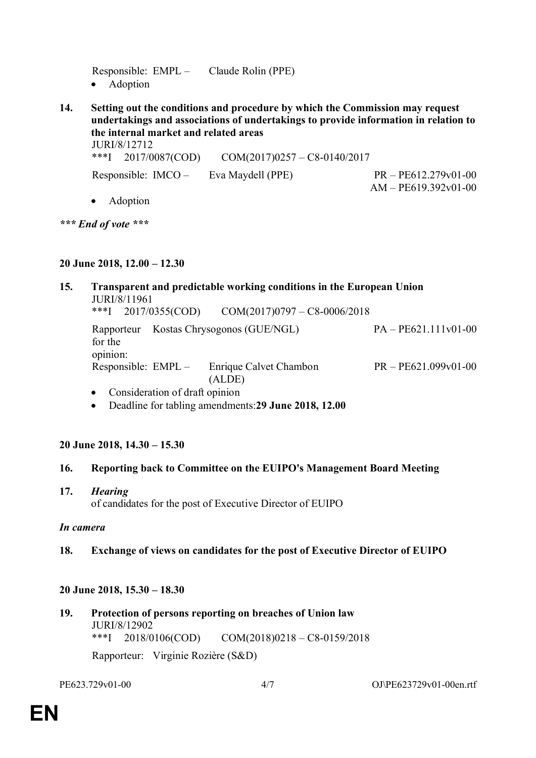Responsible: EMPL – Claude Rolin (PPE) • Adoption

**14. Setting out the conditions and procedure by which the Commission may request undertakings and associations of undertakings to provide information in relation to the internal market and related areas**

JURI/8/12712

\*\*\*I 2017/0087(COD) COM(2017)0257 – C8-0140/2017

Responsible: IMCO – Eva Maydell (PPE) PR – PE612.279v01-00

Adoption

*\*\*\* End of vote \*\*\**

### **20 June 2018, 12.00 – 12.30**

#### **15. Transparent and predictable working conditions in the European Union** JURI/8/11961 \*\*\*I 2017/0355(COD) COM(2017)0797 – C8-0006/2018 Rapporteur Kostas Chrysogonos (GUE/NGL) PA – PE621.111v01-00 for the opinion: Responsible: EMPL – Enrique Calvet Chambon (ALDE) PR – PE621.099v01-00 • Consideration of draft opinion

Deadline for tabling amendments:**29 June 2018, 12.00**

# **20 June 2018, 14.30 – 15.30**

# **16. Reporting back to Committee on the EUIPO's Management Board Meeting**

# **17.** *Hearing*

of candidates for the post of Executive Director of EUIPO

### *In camera*

# **18. Exchange of views on candidates for the post of Executive Director of EUIPO**

# **20 June 2018, 15.30 – 18.30**

**19. Protection of persons reporting on breaches of Union law** JURI/8/12902 \*\*\*I 2018/0106(COD) COM(2018)0218 – C8-0159/2018 Rapporteur: Virginie Rozière (S&D)

 $AM - PE619.392v01-00$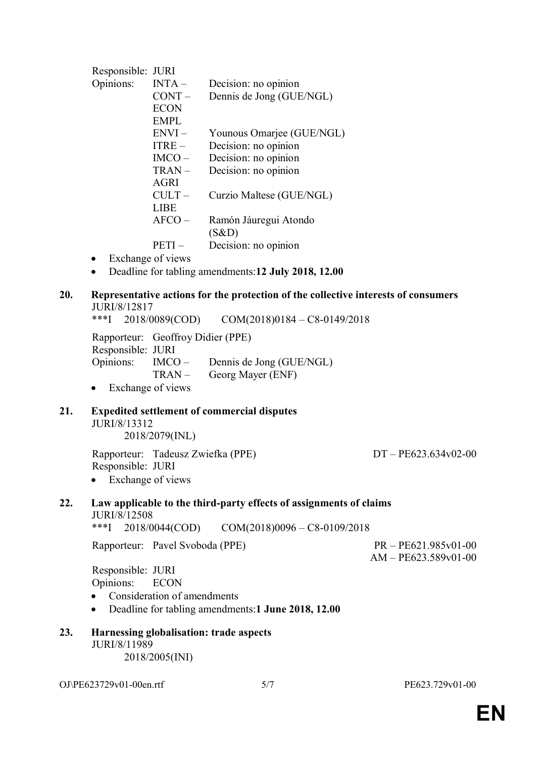|     | Responsible: JURI                                                                  |                                   |                                                                    |                        |  |  |  |
|-----|------------------------------------------------------------------------------------|-----------------------------------|--------------------------------------------------------------------|------------------------|--|--|--|
|     | Opinions:                                                                          | $INTA -$                          | Decision: no opinion                                               |                        |  |  |  |
|     |                                                                                    | $CONT -$                          | Dennis de Jong (GUE/NGL)                                           |                        |  |  |  |
|     |                                                                                    | <b>ECON</b>                       |                                                                    |                        |  |  |  |
|     |                                                                                    | <b>EMPL</b>                       |                                                                    |                        |  |  |  |
|     |                                                                                    | $ENVI -$                          | Younous Omarjee (GUE/NGL)                                          |                        |  |  |  |
|     |                                                                                    | $ITERE -$                         |                                                                    |                        |  |  |  |
|     |                                                                                    |                                   | Decision: no opinion                                               |                        |  |  |  |
|     |                                                                                    | $IMCO -$                          | Decision: no opinion                                               |                        |  |  |  |
|     |                                                                                    | TRAN-                             | Decision: no opinion                                               |                        |  |  |  |
|     |                                                                                    | <b>AGRI</b>                       |                                                                    |                        |  |  |  |
|     |                                                                                    | $CULT -$                          | Curzio Maltese (GUE/NGL)                                           |                        |  |  |  |
|     |                                                                                    | <b>LIBE</b>                       |                                                                    |                        |  |  |  |
|     |                                                                                    | $AFCO -$                          | Ramón Jáuregui Atondo                                              |                        |  |  |  |
|     |                                                                                    |                                   | (S&D)                                                              |                        |  |  |  |
|     |                                                                                    | $PETI -$                          | Decision: no opinion                                               |                        |  |  |  |
|     | $\bullet$                                                                          | Exchange of views                 |                                                                    |                        |  |  |  |
|     | $\bullet$                                                                          |                                   | Deadline for tabling amendments: 12 July 2018, 12.00               |                        |  |  |  |
|     |                                                                                    |                                   |                                                                    |                        |  |  |  |
| 20. | Representative actions for the protection of the collective interests of consumers |                                   |                                                                    |                        |  |  |  |
|     | JURI/8/12817                                                                       |                                   |                                                                    |                        |  |  |  |
|     | $***$ <sup>1</sup>                                                                 |                                   | $2018/0089$ (COD) $COM(2018)0184 - C8 - 0149/2018$                 |                        |  |  |  |
|     |                                                                                    | Rapporteur: Geoffroy Didier (PPE) |                                                                    |                        |  |  |  |
|     | Responsible: JURI                                                                  |                                   |                                                                    |                        |  |  |  |
|     | Opinions:                                                                          | $IMCO -$                          | Dennis de Jong (GUE/NGL)                                           |                        |  |  |  |
|     |                                                                                    | $TRAN -$                          | Georg Mayer (ENF)                                                  |                        |  |  |  |
|     | $\bullet$                                                                          | Exchange of views                 |                                                                    |                        |  |  |  |
|     |                                                                                    |                                   |                                                                    |                        |  |  |  |
| 21. | <b>Expedited settlement of commercial disputes</b>                                 |                                   |                                                                    |                        |  |  |  |
|     | JURI/8/13312                                                                       |                                   |                                                                    |                        |  |  |  |
|     |                                                                                    | 2018/2079(INL)                    |                                                                    |                        |  |  |  |
|     |                                                                                    |                                   |                                                                    |                        |  |  |  |
|     |                                                                                    | Rapporteur: Tadeusz Zwiefka (PPE) |                                                                    | $DT - PE623.634v02-00$ |  |  |  |
|     | Responsible: JURI                                                                  |                                   |                                                                    |                        |  |  |  |
|     |                                                                                    | Exchange of views                 |                                                                    |                        |  |  |  |
|     |                                                                                    |                                   |                                                                    |                        |  |  |  |
| 22. |                                                                                    |                                   | Law applicable to the third-party effects of assignments of claims |                        |  |  |  |
|     | JURI/8/12508                                                                       |                                   |                                                                    |                        |  |  |  |
|     | $***$ <sup>[</sup>                                                                 | 2018/0044(COD)                    | $COM(2018)0096 - C8 - 0109/2018$                                   |                        |  |  |  |
|     |                                                                                    | Rapporteur: Pavel Svoboda (PPE)   |                                                                    | $PR - PE621.985v01-00$ |  |  |  |
|     |                                                                                    |                                   |                                                                    | $AM - PE623.589v01-00$ |  |  |  |
|     | Responsible: JURI                                                                  |                                   |                                                                    |                        |  |  |  |
|     | Opinions:                                                                          | <b>ECON</b>                       |                                                                    |                        |  |  |  |
|     |                                                                                    |                                   |                                                                    |                        |  |  |  |
|     |                                                                                    | Consideration of amendments       |                                                                    |                        |  |  |  |
|     | $\bullet$                                                                          |                                   | Deadline for tabling amendments:1 June 2018, 12.00                 |                        |  |  |  |
| 23. | Harnessing globalisation: trade aspects                                            |                                   |                                                                    |                        |  |  |  |
|     | JURI/8/11989                                                                       |                                   |                                                                    |                        |  |  |  |
|     | 2018/2005(INI)                                                                     |                                   |                                                                    |                        |  |  |  |
|     |                                                                                    |                                   |                                                                    |                        |  |  |  |
|     |                                                                                    |                                   |                                                                    |                        |  |  |  |

OJ\PE623729v01-00en.rtf 5/7 PE623.729v01-00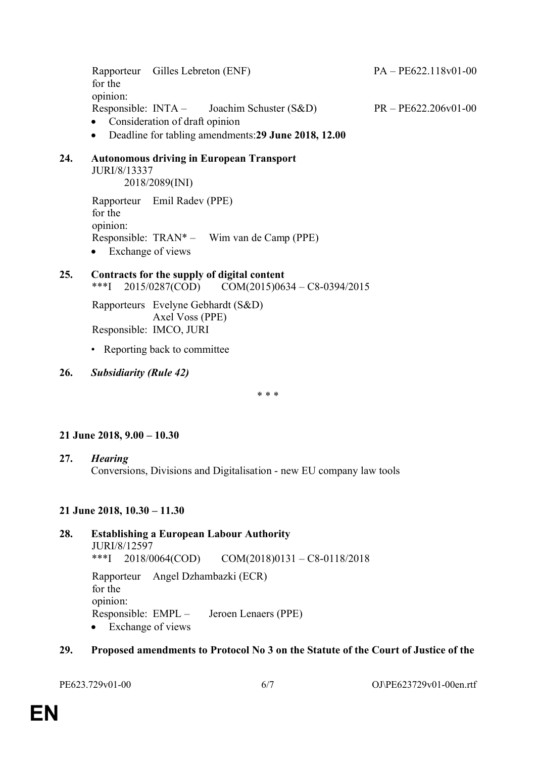Rapporteur Gilles Lebreton (ENF) PA – PE622.118v01-00 for the opinion: Responsible: INTA – Joachim Schuster (S&D) PR – PE622.206v01-00 • Consideration of draft opinion

Deadline for tabling amendments:**29 June 2018, 12.00**

#### **24. Autonomous driving in European Transport** JURI/8/13337

2018/2089(INI)

Rapporteur Emil Radev (PPE) for the opinion: Responsible: TRAN\* – Wim van de Camp (PPE) • Exchange of views

# **25. Contracts for the supply of digital content** \*\*\*I 2015/0287(COD) COM(2015)0634 – C8-0394/2015

Rapporteurs Evelyne Gebhardt (S&D) Axel Voss (PPE) Responsible: IMCO, JURI

• Reporting back to committee

**26.** *Subsidiarity (Rule 42)*

\* \* \*

### **21 June 2018, 9.00 – 10.30**

**27.** *Hearing* Conversions, Divisions and Digitalisation - new EU company law tools

### **21 June 2018, 10.30 – 11.30**

### **28. Establishing a European Labour Authority** JURI/8/12597 \*\*\*I 2018/0064(COD) COM(2018)0131 – C8-0118/2018 Rapporteur Angel Dzhambazki (ECR) for the opinion: Responsible: EMPL – Jeroen Lenaers (PPE) • Exchange of views

### **29. Proposed amendments to Protocol No 3 on the Statute of the Court of Justice of the**